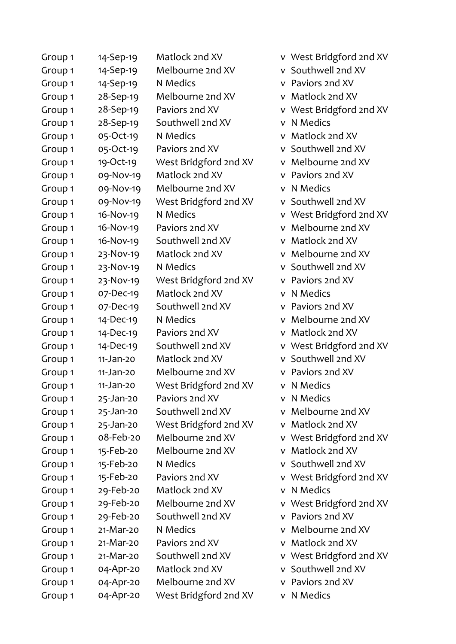| Group 1            | 14-Sep-19   | Matlock 2nd XV        | v West Bridgford 2nd XV |
|--------------------|-------------|-----------------------|-------------------------|
| Group <sub>1</sub> | 14-Sep-19   | Melbourne 2nd XV      | v Southwell 2nd XV      |
| Group <sub>1</sub> | 14-Sep-19   | N Medics              | v Paviors 2nd XV        |
| Group <sub>1</sub> | 28-Sep-19   | Melbourne 2nd XV      | v Matlock 2nd XV        |
| Group <sub>1</sub> | 28-Sep-19   | Paviors 2nd XV        | v West Bridgford 2nd XV |
| Group <sub>1</sub> | 28-Sep-19   | Southwell 2nd XV      | N Medics<br>V           |
| Group <sub>1</sub> | 05-Oct-19   | N Medics              | v Matlock 2nd XV        |
| Group <sub>1</sub> | 05-Oct-19   | Paviors 2nd XV        | v Southwell 2nd XV      |
| Group <sub>1</sub> | 19-Oct-19   | West Bridgford 2nd XV | Melbourne 2nd XV<br>V   |
| Group <sub>1</sub> | 09-Nov-19   | Matlock 2nd XV        | Paviors 2nd XV<br>V     |
| Group <sub>1</sub> | 09-Nov-19   | Melbourne 2nd XV      | N Medics<br>V           |
| Group <sub>1</sub> | 09-Nov-19   | West Bridgford 2nd XV | Southwell 2nd XV<br>v   |
| Group <sub>1</sub> | 16-Nov-19   | N Medics              | v West Bridgford 2nd XV |
| Group <sub>1</sub> | 16-Nov-19   | Paviors 2nd XV        | v Melbourne 2nd XV      |
| Group <sub>1</sub> | 16-Nov-19   | Southwell 2nd XV      | v Matlock 2nd XV        |
| Group <sub>1</sub> | 23-Nov-19   | Matlock 2nd XV        | Melbourne 2nd XV<br>v   |
| Group <sub>1</sub> | 23-Nov-19   | N Medics              | v Southwell 2nd XV      |
| Group <sub>1</sub> | 23-Nov-19   | West Bridgford 2nd XV | v Paviors 2nd XV        |
| Group <sub>1</sub> | 07-Dec-19   | Matlock 2nd XV        | N Medics<br>v           |
| Group <sub>1</sub> | 07-Dec-19   | Southwell 2nd XV      | Paviors 2nd XV<br>V     |
| Group <sub>1</sub> | 14-Dec-19   | N Medics              | Melbourne 2nd XV<br>V   |
| Group <sub>1</sub> | 14-Dec-19   | Paviors 2nd XV        | v Matlock 2nd XV        |
| Group <sub>1</sub> | 14-Dec-19   | Southwell 2nd XV      | v West Bridgford 2nd XV |
| Group <sub>1</sub> | $11-Jan-20$ | Matlock 2nd XV        | v Southwell 2nd XV      |
| Group <sub>1</sub> | 11-Jan-20   | Melbourne 2nd XV      | v Paviors 2nd XV        |
| Group <sub>1</sub> | 11-Jan-20   | West Bridgford 2nd XV | v N Medics              |
| Group <sub>1</sub> | 25-Jan-20   | Paviors 2nd XV        | N Medics<br>v           |
| Group <sub>1</sub> | 25-Jan-20   | Southwell 2nd XV      | v Melbourne 2nd XV      |
| Group <sub>1</sub> | 25-Jan-20   | West Bridgford 2nd XV | v Matlock 2nd XV        |
| Group <sub>1</sub> | 08-Feb-20   | Melbourne 2nd XV      | v West Bridgford 2nd XV |
| Group <sub>1</sub> | 15-Feb-20   | Melbourne 2nd XV      | v Matlock 2nd XV        |
| Group <sub>1</sub> | 15-Feb-20   | N Medics              | v Southwell 2nd XV      |
| Group 1            | 15-Feb-20   | Paviors 2nd XV        | v West Bridgford 2nd XV |
| Group <sub>1</sub> | 29-Feb-20   | Matlock 2nd XV        | N Medics<br>v.          |
| Group <sub>1</sub> | 29-Feb-20   | Melbourne 2nd XV      | v West Bridgford 2nd XV |
| Group <sub>1</sub> | 29-Feb-20   | Southwell 2nd XV      | v Paviors 2nd XV        |
| Group <sub>1</sub> | 21-Mar-20   | N Medics              | v Melbourne 2nd XV      |
| Group <sub>1</sub> | 21-Mar-20   | Paviors 2nd XV        | Matlock 2nd XV<br>V     |
| Group <sub>1</sub> | 21-Mar-20   | Southwell 2nd XV      | v West Bridgford 2nd XV |
| Group 1            | 04-Apr-20   | Matlock 2nd XV        | v Southwell 2nd XV      |
| Group 1            | 04-Apr-20   | Melbourne 2nd XV      | v Paviors 2nd XV        |
| Group 1            | 04-Apr-20   | West Bridgford 2nd XV | v N Medics              |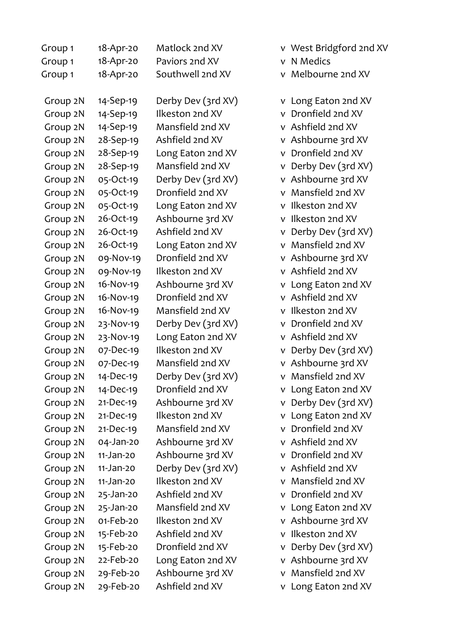| Group 1  | 18-Apr-20   | Matlock 2nd XV     | v West Bridgford 2nd XV           |
|----------|-------------|--------------------|-----------------------------------|
| Group 1  | 18-Apr-20   | Paviors 2nd XV     | N Medics<br>$\mathsf{V}$          |
| Group 1  | 18-Apr-20   | Southwell 2nd XV   | Melbourne 2nd XV<br>v             |
| Group 2N | 14-Sep-19   | Derby Dev (3rd XV) | Long Eaton 2nd XV<br>V            |
| Group 2N | 14-Sep-19   | Ilkeston 2nd XV    | Dronfield 2nd XV<br>$\mathsf{V}$  |
| Group 2N | 14-Sep-19   | Mansfield 2nd XV   | v Ashfield 2nd XV                 |
| Group 2N | 28-Sep-19   | Ashfield 2nd XV    | v Ashbourne 3rd XV                |
| Group 2N | 28-Sep-19   | Long Eaton 2nd XV  | v Dronfield 2nd XV                |
| Group 2N | 28-Sep-19   | Mansfield 2nd XV   | Derby Dev (3rd XV)<br>$\mathsf V$ |
| Group 2N | 05-Oct-19   | Derby Dev (3rd XV) | v Ashbourne 3rd XV                |
| Group 2N | 05-Oct-19   | Dronfield 2nd XV   | Mansfield 2nd XV<br>v             |
| Group 2N | 05-Oct-19   | Long Eaton 2nd XV  | Ilkeston 2nd XV<br>V              |
| Group 2N | 26-Oct-19   | Ashbourne 3rd XV   | Ilkeston 2nd XV<br>$\mathsf{V}$   |
| Group 2N | 26-Oct-19   | Ashfield 2nd XV    | v Derby Dev (3rd XV)              |
| Group 2N | 26-Oct-19   | Long Eaton 2nd XV  | v Mansfield 2nd XV                |
| Group 2N | 09-Nov-19   | Dronfield 2nd XV   | v Ashbourne 3rd XV                |
| Group 2N | 09-Nov-19   | Ilkeston 2nd XV    | v Ashfield 2nd XV                 |
| Group 2N | 16-Nov-19   | Ashbourne 3rd XV   | Long Eaton 2nd XV<br>V            |
| Group 2N | 16-Nov-19   | Dronfield 2nd XV   | v Ashfield 2nd XV                 |
| Group 2N | 16-Nov-19   | Mansfield 2nd XV   | Ilkeston 2nd XV<br>v              |
| Group 2N | 23-Nov-19   | Derby Dev (3rd XV) | v Dronfield 2nd XV                |
| Group 2N | 23-Nov-19   | Long Eaton 2nd XV  | v Ashfield 2nd XV                 |
| Group 2N | 07-Dec-19   | Ilkeston 2nd XV    | Derby Dev (3rd XV)<br>v           |
| Group 2N | 07-Dec-19   | Mansfield 2nd XV   | v Ashbourne 3rd XV                |
| Group 2N | 14-Dec-19   | Derby Dev (3rd XV) | v Mansfield 2nd XV                |
| Group 2N | 14-Dec-19   | Dronfield 2nd XV   | v Long Eaton 2nd XV               |
| Group 2N | $21-Dec-19$ | Ashbourne 3rd XV   | Derby Dev (3rd XV)<br>v           |
| Group 2N | $21-Dec-19$ | Ilkeston 2nd XV    | v Long Eaton 2nd XV               |
| Group 2N | $21-Dec-19$ | Mansfield 2nd XV   | v Dronfield 2nd XV                |
| Group 2N | 04-Jan-20   | Ashbourne 3rd XV   | v Ashfield 2nd XV                 |
| Group 2N | $11-Jan-20$ | Ashbourne 3rd XV   | v Dronfield 2nd XV                |
| Group 2N | 11-Jan-20   | Derby Dev (3rd XV) | v Ashfield 2nd XV                 |
| Group 2N | 11-Jan-20   | Ilkeston 2nd XV    | v Mansfield 2nd XV                |
| Group 2N | 25-Jan-20   | Ashfield 2nd XV    | Dronfield 2nd XV<br>v             |
| Group 2N | 25-Jan-20   | Mansfield 2nd XV   | Long Eaton 2nd XV<br>v            |
| Group 2N | 01-Feb-20   | Ilkeston 2nd XV    | v Ashbourne 3rd XV                |
| Group 2N | 15-Feb-20   | Ashfield 2nd XV    | Ilkeston 2nd XV<br>v              |
| Group 2N | 15-Feb-20   | Dronfield 2nd XV   | Derby Dev (3rd XV)<br>V           |
| Group 2N | 22-Feb-20   | Long Eaton 2nd XV  | v Ashbourne 3rd XV                |
| Group 2N | 29-Feb-20   | Ashbourne 3rd XV   | v Mansfield 2nd XV                |
| Group 2N | 29-Feb-20   | Ashfield 2nd XV    | v Long Eaton 2nd XV               |

|  |  | v West Bridgford 2nd XV |  |
|--|--|-------------------------|--|
|--|--|-------------------------|--|

- N Medics
- Melbourne 2nd XV
- Long Eaton 2nd XV Dronfield 2nd XV Ashfield 2nd XV Ashbourne 3rd XV Dronfield 2nd XV Derby Dev (3rd XV) Ashbourne 3rd XV Mansfield 2nd XV Ilkeston 2nd XV Ilkeston 2nd XV Derby Dev (3rd XV) Mansfield 2nd XV Ashbourne 3rd XV Ashfield 2nd XV Long Eaton 2nd XV Ashfield 2nd XV Ilkeston 2nd XV Dronfield 2nd XV Ashfield 2nd XV Derby Dev (3rd XV) Ashbourne 3rd XV Mansfield 2nd XV Long Eaton 2nd XV Derby Dev (3rd XV) Long Eaton 2nd XV Dronfield 2nd XV Ashfield 2nd XV Dronfield 2nd XV Ashfield 2nd XV Mansfield 2nd XV Dronfield 2nd XV Long Eaton 2nd XV Ashbourne 3rd XV Ilkeston 2nd XV Derby Dev (3rd XV)
	- Ashbourne 3rd XV
- Mansfield 2nd XV
- Long Eaton 2nd XV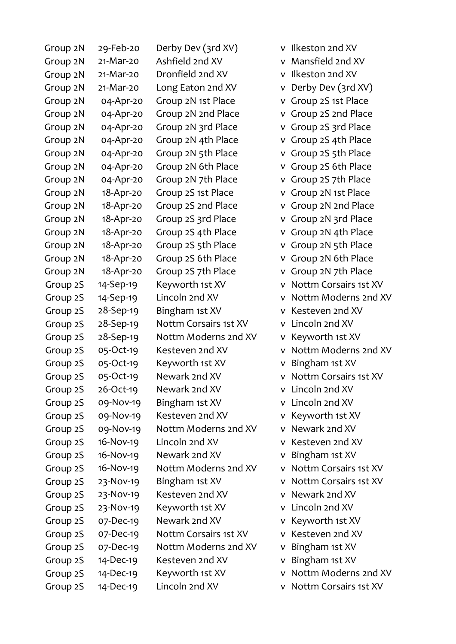| Group 2N | 29-Feb-20   | Derby Dev (3rd XV)    |   | v Ilkeston 2nd XV     |
|----------|-------------|-----------------------|---|-----------------------|
| Group 2N | 21-Mar-20   | Ashfield 2nd XV       | V | Mansfield 2nd XV      |
| Group 2N | $21-Mar-20$ | Dronfield 2nd XV      | v | Ilkeston 2nd XV       |
| Group 2N | 21-Mar-20   | Long Eaton 2nd XV     | v | Derby Dev (3rd XV)    |
| Group 2N | 04-Apr-20   | Group 2N 1st Place    | v | Group 2S 1st Place    |
| Group 2N | 04-Apr-20   | Group 2N 2nd Place    | V | Group 2S 2nd Place    |
| Group 2N | 04-Apr-20   | Group 2N 3rd Place    | V | Group 2S 3rd Place    |
| Group 2N | 04-Apr-20   | Group 2N 4th Place    | V | Group 2S 4th Place    |
| Group 2N | 04-Apr-20   | Group 2N 5th Place    | V | Group 2S 5th Place    |
| Group 2N | 04-Apr-20   | Group 2N 6th Place    | v | Group 2S 6th Place    |
| Group 2N | 04-Apr-20   | Group 2N 7th Place    | V | Group 2S 7th Place    |
| Group 2N | 18-Apr-20   | Group 2S 1st Place    | V | Group 2N 1st Place    |
| Group 2N | 18-Apr-20   | Group 2S 2nd Place    | V | Group 2N 2nd Place    |
| Group 2N | 18-Apr-20   | Group 2S 3rd Place    | V | Group 2N 3rd Place    |
| Group 2N | 18-Apr-20   | Group 2S 4th Place    | V | Group 2N 4th Place    |
| Group 2N | 18-Apr-20   | Group 2S 5th Place    | v | Group 2N 5th Place    |
| Group 2N | 18-Apr-20   | Group 2S 6th Place    | V | Group 2N 6th Place    |
| Group 2N | 18-Apr-20   | Group 2S 7th Place    | v | Group 2N 7th Place    |
| Group 2S | 14-Sep-19   | Keyworth 1st XV       | v | Nottm Corsairs 1st XV |
| Group 2S | 14-Sep-19   | Lincoln 2nd XV        | v | Nottm Moderns 2nd XV  |
| Group 2S | 28-Sep-19   | Bingham 1st XV        | v | Kesteven 2nd XV       |
| Group 2S | 28-Sep-19   | Nottm Corsairs 1st XV | v | Lincoln 2nd XV        |
| Group 2S | 28-Sep-19   | Nottm Moderns 2nd XV  | v | Keyworth 1st XV       |
| Group 2S | 05-Oct-19   | Kesteven 2nd XV       | v | Nottm Moderns 2nd XV  |
| Group 2S | 05-Oct-19   | Keyworth 1st XV       | ٧ | Bingham 1st XV        |
| Group 2S | 05-Oct-19   | Newark 2nd XV         | v | Nottm Corsairs 1st XV |
| Group 2S | 26-Oct-19   | Newark 2nd XV         |   | v Lincoln 2nd XV      |
| Group 2S | 09-Nov-19   | Bingham 1st XV        | v | Lincoln 2nd XV        |
| Group 2S | 09-Nov-19   | Kesteven 2nd XV       | v | Keyworth 1st XV       |
| Group 2S | 09-Nov-19   | Nottm Moderns 2nd XV  | v | Newark 2nd XV         |
| Group 2S | 16-Nov-19   | Lincoln 2nd XV        | v | Kesteven 2nd XV       |
| Group 2S | 16-Nov-19   | Newark 2nd XV         | v | Bingham 1st XV        |
| Group 2S | 16-Nov-19   | Nottm Moderns 2nd XV  | v | Nottm Corsairs 1st XV |
| Group 2S | 23-Nov-19   | Bingham 1st XV        | v | Nottm Corsairs 1st XV |
| Group 2S | 23-Nov-19   | Kesteven 2nd XV       | v | Newark 2nd XV         |
| Group 2S | 23-Nov-19   | Keyworth 1st XV       | v | Lincoln 2nd XV        |
| Group 2S | 07-Dec-19   | Newark 2nd XV         | v | Keyworth 1st XV       |
| Group 2S | 07-Dec-19   | Nottm Corsairs 1st XV | v | Kesteven 2nd XV       |
| Group 2S | 07-Dec-19   | Nottm Moderns 2nd XV  | v | Bingham 1st XV        |
| Group 2S | 14-Dec-19   | Kesteven 2nd XV       | v | Bingham 1st XV        |
| Group 2S | 14-Dec-19   | Keyworth 1st XV       | v | Nottm Moderns 2nd XV  |
| Group 2S | 14-Dec-19   | Lincoln 2nd XV        | v | Nottm Corsairs 1st XV |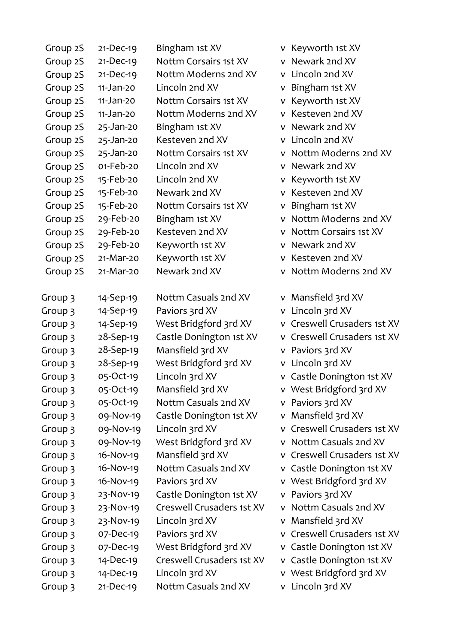| Group 2S | 21-Dec-19     | Bingham 1st XV            |   | v Keyworth 1st XV           |
|----------|---------------|---------------------------|---|-----------------------------|
| Group 2S | $21-Dec-19$   | Nottm Corsairs 1st XV     |   | v Newark 2nd XV             |
| Group 2S | $21-Dec-19$   | Nottm Moderns 2nd XV      |   | v Lincoln 2nd XV            |
| Group 2S | $11-Jan-20$   | Lincoln 2nd XV            |   | v Bingham 1st XV            |
| Group 2S | 11-Jan-20     | Nottm Corsairs 1st XV     |   | v Keyworth 1st XV           |
| Group 2S | 11-Jan-20     | Nottm Moderns 2nd XV      |   | v Kesteven 2nd XV           |
| Group 2S | 25-Jan-20     | Bingham 1st XV            |   | v Newark 2nd XV             |
| Group 2S | 25-Jan-20     | Kesteven 2nd XV           |   | v Lincoln 2nd XV            |
| Group 2S | 25-Jan-20     | Nottm Corsairs 1st XV     |   | v Nottm Moderns 2nd XV      |
| Group 2S | 01-Feb-20     | Lincoln 2nd XV            |   | v Newark 2nd XV             |
| Group 2S | 15-Feb-20     | Lincoln 2nd XV            |   | v Keyworth 1st XV           |
| Group 2S | 15-Feb-20     | Newark 2nd XV             |   | v Kesteven 2nd XV           |
| Group 2S | 15-Feb-20     | Nottm Corsairs 1st XV     |   | v Bingham 1st XV            |
| Group 2S | 29-Feb-20     | Bingham 1st XV            |   | v Nottm Moderns 2nd XV      |
| Group 2S | 29-Feb-20     | Kesteven 2nd XV           |   | v Nottm Corsairs 1st XV     |
| Group 2S | 29-Feb-20     | Keyworth 1st XV           |   | v Newark 2nd XV             |
| Group 2S | 21-Mar-20     | Keyworth 1st XV           |   | v Kesteven 2nd XV           |
| Group 2S | 21-Mar-20     | Newark 2nd XV             | V | Nottm Moderns 2nd XV        |
| Group 3  | 14-Sep-19     | Nottm Casuals 2nd XV      |   | v Mansfield 3rd XV          |
| Group 3  | 14-Sep-19     | Paviors 3rd XV            |   | v Lincoln 3rd XV            |
| Group 3  | 14-Sep-19     | West Bridgford 3rd XV     |   | v Creswell Crusaders 1st XV |
| Group 3  | 28-Sep-19     | Castle Donington 1st XV   |   | v Creswell Crusaders 1st XV |
| Group 3  | 28-Sep-19     | Mansfield 3rd XV          |   | v Paviors 3rd XV            |
| Group 3  | 28-Sep-19     | West Bridgford 3rd XV     |   | v Lincoln 3rd XV            |
| Group 3  | 05-Oct-19     | Lincoln 3rd XV            |   | v Castle Donington 1st XV   |
| Group 3  | 05-Oct-19     | Mansfield 3rd XV          |   | v West Bridgford 3rd XV     |
| Group 3  | 05-Oct-19     | Nottm Casuals 2nd XV      |   | v Paviors 3rd XV            |
| Group 3  | 09-Nov-19     | Castle Donington 1st XV   |   | v Mansfield 3rd XV          |
| Group 3  | 09-Nov-19     | Lincoln 3rd XV            |   | v Creswell Crusaders 1st XV |
| Group 3  | 09-Nov-19     | West Bridgford 3rd XV     |   | v Nottm Casuals 2nd XV      |
| Group 3  | 16-Nov-19     | Mansfield 3rd XV          |   | v Creswell Crusaders 1st XV |
| Group 3  | 16-Nov-19     | Nottm Casuals 2nd XV      |   | v Castle Donington 1st XV   |
| Group 3  | 16-Nov-19     | Paviors 3rd XV            |   | v West Bridgford 3rd XV     |
| Group 3  | 23-Nov-19     | Castle Donington 1st XV   |   | v Paviors 3rd XV            |
| Group 3  | 23-Nov-19     | Creswell Crusaders 1st XV |   | v Nottm Casuals 2nd XV      |
| Group 3  | 23-Nov-19     | Lincoln 3rd XV            |   | v Mansfield 3rd XV          |
| Group 3  | 07-Dec-19     | Paviors 3rd XV            |   | v Creswell Crusaders 1st XV |
| Group 3  | 07-Dec-19     | West Bridgford 3rd XV     |   | v Castle Donington 1st XV   |
| Group 3  | 14-Dec-19     | Creswell Crusaders 1st XV |   | v Castle Donington 1st XV   |
| Group 3  | 14-Dec-19     | Lincoln 3rd XV            |   | v West Bridgford 3rd XV     |
| Group 3  | $21 - Dec-19$ | Nottm Casuals 2nd XV      |   | v Lincoln 3rd XV            |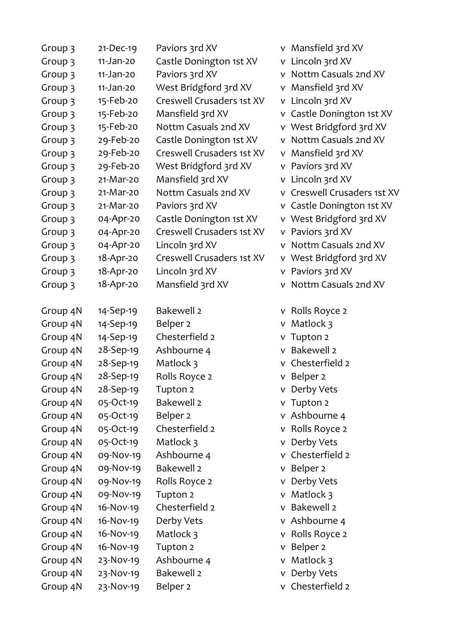| Group 3  | 21-Dec-19 | Paviors 3rd XV            |   | v Mansfield 3rd XV          |
|----------|-----------|---------------------------|---|-----------------------------|
| Group 3  | 11-Jan-20 | Castle Donington 1st XV   |   | v Lincoln 3rd XV            |
| Group 3  | 11-Jan-20 | Paviors 3rd XV            |   | v Nottm Casuals 2nd XV      |
| Group 3  | 11-Jan-20 | West Bridgford 3rd XV     |   | v Mansfield 3rd XV          |
| Group 3  | 15-Feb-20 | Creswell Crusaders 1st XV |   | v Lincoln 3rd XV            |
| Group 3  | 15-Feb-20 | Mansfield 3rd XV          |   | v Castle Donington 1st XV   |
| Group 3  | 15-Feb-20 | Nottm Casuals 2nd XV      |   | v West Bridgford 3rd XV     |
| Group 3  | 29-Feb-20 | Castle Donington 1st XV   |   | v Nottm Casuals 2nd XV      |
| Group 3  | 29-Feb-20 | Creswell Crusaders 1st XV |   | v Mansfield 3rd XV          |
| Group 3  | 29-Feb-20 | West Bridgford 3rd XV     |   | v Paviors 3rd XV            |
| Group 3  | 21-Mar-20 | Mansfield 3rd XV          |   | v Lincoln 3rd XV            |
| Group 3  | 21-Mar-20 | Nottm Casuals 2nd XV      |   | v Creswell Crusaders 1st XV |
| Group 3  | 21-Mar-20 | Paviors 3rd XV            |   | v Castle Donington 1st XV   |
| Group 3  | 04-Apr-20 | Castle Donington 1st XV   |   | v West Bridgford 3rd XV     |
| Group 3  | 04-Apr-20 | Creswell Crusaders 1st XV |   | v Paviors 3rd XV            |
| Group 3  | 04-Apr-20 | Lincoln 3rd XV            |   | v Nottm Casuals 2nd XV      |
| Group 3  | 18-Apr-20 | Creswell Crusaders 1st XV |   | v West Bridgford 3rd XV     |
| Group 3  | 18-Apr-20 | Lincoln 3rd XV            |   | v Paviors 3rd XV            |
| Group 3  | 18-Apr-20 | Mansfield 3rd XV          |   | v Nottm Casuals 2nd XV      |
| Group 4N | 14-Sep-19 | <b>Bakewell 2</b>         |   | v Rolls Royce 2             |
| Group 4N | 14-Sep-19 | Belper <sub>2</sub>       |   | $v$ Matlock 3               |
| Group 4N | 14-Sep-19 | Chesterfield 2            |   | v Tupton 2                  |
| Group 4N | 28-Sep-19 | Ashbourne 4               |   | v Bakewell 2                |
| Group 4N | 28-Sep-19 | Matlock 3                 |   | v Chesterfield 2            |
| Group 4N | 28-Sep-19 | Rolls Royce 2             |   | v Belper 2                  |
| Group 4N | 28-Sep-19 | Tupton <sub>2</sub>       |   | v Derby Vets                |
| Group 4N | 05-Oct-19 | <b>Bakewell 2</b>         |   | v Tupton 2                  |
| Group 4N | 05-Oct-19 | Belper <sub>2</sub>       |   | v Ashbourne 4               |
| Group 4N | 05-Oct-19 | Chesterfield 2            |   | v Rolls Royce 2             |
| Group 4N | 05-Oct-19 | Matlock 3                 |   | v Derby Vets                |
| Group 4N | 09-Nov-19 | Ashbourne 4               |   | v Chesterfield 2            |
| Group 4N | 09-Nov-19 | <b>Bakewell 2</b>         |   | v Belper 2                  |
| Group 4N | 09-Nov-19 | Rolls Royce 2             |   | v Derby Vets                |
| Group 4N | 09-Nov-19 | Tupton 2                  |   | v Matlock 3                 |
| Group 4N | 16-Nov-19 | Chesterfield 2            | v | Bakewell 2                  |
| Group 4N | 16-Nov-19 | Derby Vets                |   | v Ashbourne 4               |
| Group 4N | 16-Nov-19 | Matlock 3                 |   | v Rolls Royce 2             |
| Group 4N | 16-Nov-19 | Tupton 2                  |   | v Belper 2                  |
| Group 4N | 23-Nov-19 | Ashbourne 4               |   | v Matlock 3                 |
| Group 4N | 23-Nov-19 | <b>Bakewell 2</b>         |   | v Derby Vets                |
| Group 4N | 23-Nov-19 | Belper <sub>2</sub>       |   | v Chesterfield 2            |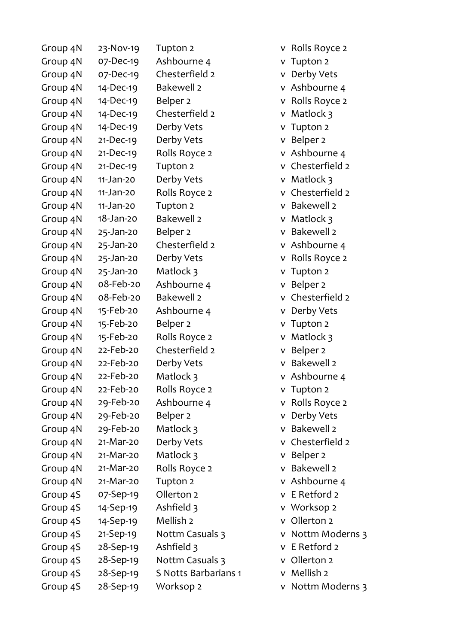| Group 4N | 23-Nov-19   | Tupton 2             |
|----------|-------------|----------------------|
| Group 4N | 07-Dec-19   | Ashbourne 4          |
| Group 4N | 07-Dec-19   | Chesterfield 2       |
| Group 4N | 14-Dec-19   | <b>Bakewell 2</b>    |
| Group 4N | 14-Dec-19   | Belper <sub>2</sub>  |
| Group 4N | 14-Dec-19   | Chesterfield 2       |
| Group 4N | 14-Dec-19   | Derby Vets           |
| Group 4N | $21-Dec-19$ | Derby Vets           |
| Group 4N | $21-Dec-19$ | Rolls Royce 2        |
| Group 4N | $21-Dec-19$ | Tupton <sub>2</sub>  |
| Group 4N | 11-Jan-20   | Derby Vets           |
| Group 4N | 11-Jan-20   | Rolls Royce 2        |
| Group 4N | 11-Jan-20   | Tupton <sub>2</sub>  |
| Group 4N | 18-Jan-20   | <b>Bakewell 2</b>    |
| Group 4N | 25-Jan-20   | Belper <sub>2</sub>  |
| Group 4N | 25-Jan-20   | Chesterfield 2       |
| Group 4N | 25-Jan-20   | Derby Vets           |
| Group 4N | 25-Jan-20   | Matlock 3            |
| Group 4N | 08-Feb-20   | Ashbourne 4          |
| Group 4N | 08-Feb-20   | <b>Bakewell 2</b>    |
| Group 4N | 15-Feb-20   | Ashbourne 4          |
| Group 4N | 15-Feb-20   | Belper <sub>2</sub>  |
| Group 4N | 15-Feb-20   | Rolls Royce 2        |
| Group 4N | 22-Feb-20   | Chesterfield 2       |
| Group 4N | 22-Feb-20   | Derby Vets           |
| Group 4N | 22-Feb-20   | Matlock 3            |
| Group 4N | 22-Feb-20   | Rolls Royce 2        |
| Group 4N | 29-Feb-20   | Ashbourne 4          |
| Group 4N | 29-Feb-20   | Belper <sub>2</sub>  |
| Group 4N | 29-Feb-20   | Matlock 3            |
| Group 4N | 21-Mar-20   | Derby Vets           |
| Group 4N | 21-Mar-20   | Matlock 3            |
| Group 4N | 21-Mar-20   | Rolls Royce 2        |
| Group 4N | 21-Mar-20   | Tupton <sub>2</sub>  |
| Group 4S | 07-Sep-19   | Ollerton 2           |
| Group 4S | 14-Sep-19   | Ashfield 3           |
| Group 4S | 14-Sep-19   | Mellish <sub>2</sub> |
| Group 4S | 21-Sep-19   | Nottm Casuals 3      |
| Group 4S | 28-Sep-19   | Ashfield 3           |
| Group 4S | 28-Sep-19   | Nottm Casuals 3      |
| Group 4S | 28-Sep-19   | S Notts Barbarian    |
| Group 4S | 28-Sep-19   | Worksop 2            |

v Rolls Royce 2 v Tupton 2 v Derby Vets v Ashbourne 4 v Rolls Royce 2 v Matlock 3 v Tupton 2 v Belper 2 v Ashbourne 4 v Chesterfield 2 v Matlock 3 v Chesterfield 2 v Bakewell 2 v Matlock 3 v Bakewell 2 v Ashbourne 4 v Rolls Royce 2 v Tupton 2 v Belper 2 v Chesterfield 2 v Derby Vets v Tupton 2 v Matlock 3 v Belper 2 v Bakewell 2 v Ashbourne 4 v Tupton 2 v Rolls Royce 2 v Derby Vets v Bakewell 2 v Chesterfield 2 v Belper 2 v Bakewell 2 v Ashbourne 4 v E Retford 2 v Worksop 2 v Ollerton 2 v Nottm Moderns 3 v E Retford 2 v Ollerton 2 is 1 v Mellish 2

v Nottm Moderns 3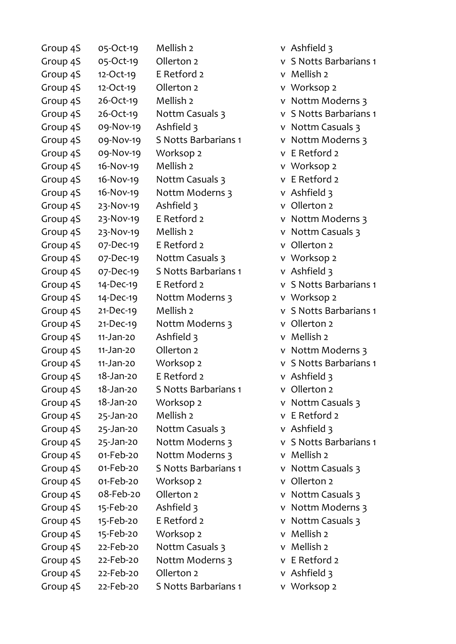| Group 4S | 05-Oct-19    | Mellish <sub>2</sub> | v Ashfield 3  |
|----------|--------------|----------------------|---------------|
| Group 4S | 05-Oct-19    | Ollerton 2           | v S Notts Bar |
| Group 4S | 12-Oct-19    | E Retford 2          | v Mellish 2   |
| Group 4S | 12-Oct-19    | Ollerton 2           | v Worksop 2   |
| Group 4S | 26-Oct-19    | Mellish 2            | v Nottm Mod   |
| Group 4S | 26-Oct-19    | Nottm Casuals 3      | v S Notts Bar |
| Group 4S | 09-Nov-19    | Ashfield 3           | v Nottm Casu  |
| Group 4S | 09-Nov-19    | S Notts Barbarians 1 | v Nottm Moo   |
| Group 4S | 09-Nov-19    | Worksop 2            | v E Retford 2 |
| Group 4S | 16-Nov-19    | Mellish <sub>2</sub> | v Worksop 2   |
| Group 4S | 16-Nov-19    | Nottm Casuals 3      | v E Retford 2 |
| Group 4S | 16-Nov-19    | Nottm Moderns 3      | v Ashfield 3  |
| Group 4S | 23-Nov-19    | Ashfield 3           | v Ollerton 2  |
| Group 4S | 23-Nov-19    | E Retford 2          | v Nottm Moo   |
| Group 4S | 23-Nov-19    | Mellish <sub>2</sub> | v Nottm Casu  |
| Group 4S | 07-Dec-19    | E Retford 2          | v Ollerton 2  |
| Group 4S | 07-Dec-19    | Nottm Casuals 3      | v Worksop 2   |
| Group 4S | 07-Dec-19    | S Notts Barbarians 1 | v Ashfield 3  |
| Group 4S | 14-Dec-19    | E Retford 2          | v S Notts Bar |
| Group 4S | 14-Dec-19    | Nottm Moderns 3      | v Worksop 2   |
| Group 4S | $21-Dec-19$  | Mellish <sub>2</sub> | v S Notts Bar |
| Group 4S | $21-Dec-19$  | Nottm Moderns 3      | v Ollerton 2  |
| Group 4S | $11-Jan-20$  | Ashfield 3           | v Mellish 2   |
| Group 4S | $11-Jan-20$  | Ollerton 2           | v Nottm Mod   |
| Group 4S | 11-Jan-20    | Worksop 2            | v S Notts Bar |
| Group 4S | 18-Jan-20    | E Retford 2          | v Ashfield 3  |
| Group 4S | 18-Jan-20    | S Notts Barbarians 1 | v Ollerton 2  |
| Group 4S | 18-Jan-20    | Worksop 2            | v Nottm Casu  |
| Group 4S | 25-Jan-20    | Mellish <sub>2</sub> | v E Retford 2 |
| Group 4S | 25-Jan-20    | Nottm Casuals 3      | v Ashfield 3  |
| Group 4S | $25$ -Jan-20 | Nottm Moderns 3      | v S Notts Bar |
| Group 4S | 01-Feb-20    | Nottm Moderns 3      | v Mellish 2   |
| Group 4S | 01-Feb-20    | S Notts Barbarians 1 | v Nottm Casu  |
| Group 4S | 01-Feb-20    | Worksop 2            | v Ollerton 2  |
| Group 4S | 08-Feb-20    | Ollerton 2           | v Nottm Casu  |
| Group 4S | 15-Feb-20    | Ashfield 3           | v Nottm Mod   |
| Group 4S | 15-Feb-20    | E Retford 2          | v Nottm Casu  |
| Group 4S | 15-Feb-20    | Worksop 2            | v Mellish 2   |
| Group 4S | 22-Feb-20    | Nottm Casuals 3      | v Mellish 2   |
| Group 4S | 22-Feb-20    | Nottm Moderns 3      | v E Retford 2 |
| Group 4S | 22-Feb-20    | Ollerton 2           | v Ashfield 3  |
| Group 4S | 22-Feb-20    | S Notts Barbarians 1 | v Worksop 2   |

Barbarians 1 Moderns 3 Barbarians 1 Casuals 3 Moderns 3 Moderns 3 Casuals 3 Barbarians 1 Barbarians 1 Moderns 3 Barbarians 1 Casuals 3 Barbarians 1 Casuals 3 Casuals 3 Moderns 3 Casuals 3